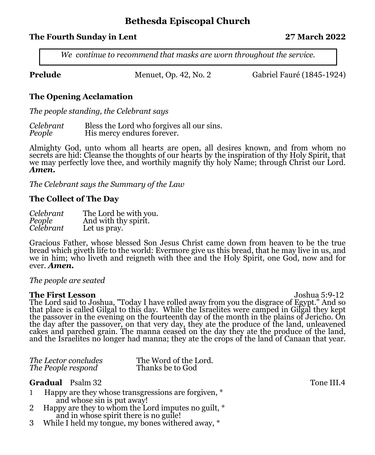# **Bethesda Episcopal Church**

### **The Fourth Sunday in Lent 27 March 2022**

*We continue to recommend that masks are worn throughout the service.* 

**Prelude Menuet, Op. 42, No. 2** Gabriel Fauré (1845-1924)

### **The Opening Acclamation**

*The people standing, the Celebrant says*

*Celebrant* Bless the Lord who forgives all our sins. **His mercy endures forever.** 

Almighty God, unto whom all hearts are open, all desires known, and from whom no secrets are hid: Cleanse the thoughts of our hearts by the inspiration of thy Holy Spirit, that we may perfectly love thee, and worthily magnify thy holy Name; through Christ our Lord. *Amen.* 

*The Celebrant says the Summary of the Law*

#### **The Collect of The Day**

| Celebrant | The Lord be with you. |
|-----------|-----------------------|
| People    | And with thy spirit.  |
| Celebrant | Let us pray.          |

Gracious Father, whose blessed Son Jesus Christ came down from heaven to be the true bread which giveth life to the world: Evermore give us this bread, that he may live in us, and we in him; who liveth and reigneth with thee and the Holy Spirit, one God, now and for ever. *Amen.*

#### *The people are seated*

**The First Lesson** Joshua 5:9-12 The Lord said to Joshua, "Today I have rolled away from you the disgrace of Egypt." And so that place is called Gilgal to this day. While the Israelites were camped in Gilgal they kept the passover in the evening on the fourteenth day of the month in the plains of Jericho. On the day after the passover, on that very day, they ate the produce of the land, unleavened cakes and parched grain. The manna ceased on the day they ate the produce of the land, and the Israelites no longer had manna; they ate the crops of the land of Canaan that year.

| The Lector concludes | The Word of the Lord. |
|----------------------|-----------------------|
| The People respond   | Thanks be to God      |

### **Gradual Psalm 32** Tone III.4

- 1 Happy are they whose transgressions are forgiven, \* and whose sin is put away!<br>
2 Happy are they to whom the L
- Happy are they to whom the Lord imputes no guilt,  $*$ and in whose spirit there is no guile!<br>3 While I held my tongue, my bones withe
- While I held my tongue, my bones withered away,  $*$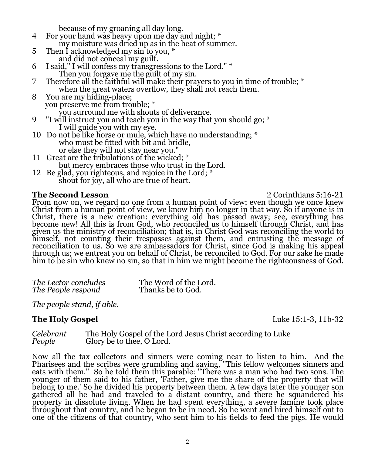- because of my groaning all day long.<br>4 For your hand was heavy upon me day a For your hand was heavy upon me day and night; \* my moisture was dried up as in the heat of summer.<br>5 Then Lacknowledged my sin to you. \*
- Then I acknowledged my sin to you,  $*$
- and did not conceal my guilt.<br>6 I said." I will confess my transgre I said," I will confess my transgressions to the Lord." \*
- Then you forgave me the guilt of my sin.<br>7 Therefore all the faithful will make their pray 7 Therefore all the faithful will make their prayers to you in time of trouble; \* when the great waters overflow, they shall not reach them.
- 8 You are my hiding-place; you preserve me from trouble; \*
- you surround me with shouts of deliverance.<br>Twill instruct you and teach you in the way that "I will instruct you and teach you in the way that you should go;  $*$ 
	- I will guide you with my eye.
- 10 Do not be like horse or mule, which have no understanding; \* who must be fitted with bit and bridle, or else they will not stay near you."
- 11 Great are the tribulations of the wicked; \* but mercy embraces those who trust in the Lord.
- 12 Be glad, you righteous, and rejoice in the Lord; \* shout for joy, all who are true of heart.

**The Second Lesson** 2 Corinthians 5:16-21

From now on, we regard no one from a human point of view; even though we once knew Christ from a human point of view, we know him no longer in that way. So if anyone is in Christ, there is a new creation: everything old has passed away; see, everything has become new! All this is from God, who reconciled us to himself through Christ, and has given us the ministry of reconciliation; that is, in Christ God was reconciling the world to himself, not counting their trespasses against them, and entrusting the message of reconciliation to us. So we are ambassadors for Christ, since God is making his appeal through us; we entreat you on behalf of Christ, be reconciled to God. For our sake he made him to be sin who knew no sin, so that in him we might become the righteousness of God.

| The Lector concludes | The Word of the Lord. |
|----------------------|-----------------------|
| The People respond   | Thanks be to God.     |

*The people stand, if able.*

**The Holy Gospel** 2012 **Luke 15:1-3, 11b-32** 

*Celebrant* The Holy Gospel of the Lord Jesus Christ according to Luke *Peoplery* be to thee, O Lord.

Now all the tax collectors and sinners were coming near to listen to him. And the Pharisees and the scribes were grumbling and saying, "This fellow welcomes sinners and eats with them." So he told them this parable: "There was a man who had two sons. The younger of them said to his father, 'Father, give me the share of the property that will belong to me.' So he divided his property between them. A few days later the younger son gathered all he had and traveled to a distant country, and there he squandered his property in dissolute living. When he had spent everything, a severe famine took place throughout that country, and he began to be in need. So he went and hired himself out to one of the citizens of that country, who sent him to his fields to feed the pigs. He would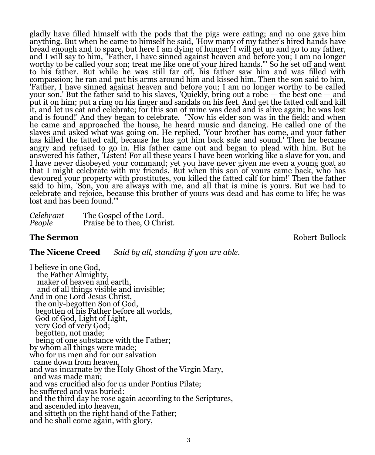gladly have filled himself with the pods that the pigs were eating; and no one gave him anything. But when he came to himself he said, 'How many of my father's hired hands have bread enough and to spare, but here I am dying of hunger! I will get up and go to my father, and I will say to him, "Father, I have sinned against heaven and before you; I am no longer worthy to be called your son; treat me like one of your hired hands."' So he set off and went to his father. But while he was still far off, his father saw him and was filled with compassion; he ran and put his arms around him and kissed him. Then the son said to him, 'Father, I have sinned against heaven and before you; I am no longer worthy to be called your son.' But the father said to his slaves, 'Quickly, bring out a robe — the best one — and put it on him; put a ring on his finger and sandals on his feet. And get the fatted calf and kill it, and let us eat and celebrate; for this son of mine was dead and is alive again; he was lost and is found!' And they began to celebrate. "Now his elder son was in the field; and when he came and approached the house, he heard music and dancing. He called one of the slaves and asked what was going on. He replied, 'Your brother has come, and your father has killed the fatted calf, because he has got him back safe and sound.' Then he became angry and refused to go in. His father came out and began to plead with him. But he answered his father, 'Listen! For all these years I have been working like a slave for you, and I have never disobeyed your command; yet you have never given me even a young goat so that I might celebrate with my friends. But when this son of yours came back, who has devoured your property with prostitutes, you killed the fatted calf for him!' Then the father said to him, 'Son, you are always with me, and all that is mine is yours. But we had to celebrate and rejoice, because this brother of yours was dead and has come to life; he was lost and has been found."

| Celebrant | The Gospel of the Lord.      |
|-----------|------------------------------|
| People    | Praise be to thee, O Christ. |

#### **The Sermon Robert Bullock Robert Bullock**

#### **The Nicene Creed** *Said by all, standing if you are able.*

I believe in one God, the Father Almighty, maker of heaven and earth, and of all things visible and invisible; And in one Lord Jesus Christ, the only-begotten Son of God, begotten of his Father before all worlds, God of God, Light of Light, very God of very God; begotten, not made; being of one substance with the Father; by whom all things were made; who for us men and for our salvation came down from heaven, and was incarnate by the Holy Ghost of the Virgin Mary, and was made man; and was crucified also for us under Pontius Pilate; he suffered and was buried: and the third day he rose again according to the Scriptures, and ascended into heaven, and sitteth on the right hand of the Father; and he shall come again, with glory,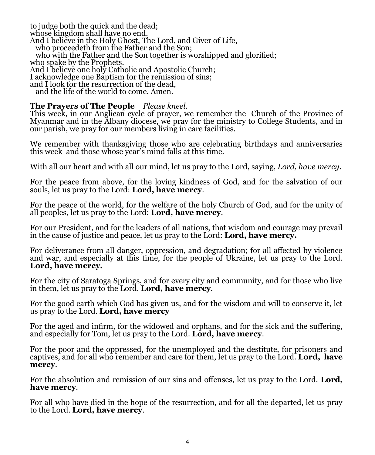to judge both the quick and the dead; whose kingdom shall have no end. And I believe in the Holy Ghost, The Lord, and Giver of Life, who proceedeth from the Father and the Son; who with the Father and the Son together is worshipped and glorified; who spake by the Prophets. And I believe one holy Catholic and Apostolic Church; I acknowledge one Baptism for the remission of sins; and I look for the resurrection of the dead, and the life of the world to come. Amen.

#### **The Prayers of The People** *Please kneel.*

This week, in our Anglican cycle of prayer, we remember the Church of the Province of Myanmar and in the Albany diocese, we pray for the ministry to College Students, and in our parish, we pray for our members living in care facilities.

We remember with thanksgiving those who are celebrating birthdays and anniversaries this week and those whose year's mind falls at this time.

With all our heart and with all our mind, let us pray to the Lord, saying, *Lord, have mercy*.

For the peace from above, for the loving kindness of God, and for the salvation of our souls, let us pray to the Lord: **Lord, have mercy**.

For the peace of the world, for the welfare of the holy Church of God, and for the unity of all peoples, let us pray to the Lord: **Lord, have mercy**.

For our President, and for the leaders of all nations, that wisdom and courage may prevail in the cause of justice and peace, let us pray to the Lord: **Lord, have mercy.**

For deliverance from all danger, oppression, and degradation; for all affected by violence and war, and especially at this time, for the people of Ukraine, let us pray to the Lord. **Lord, have mercy.**

For the city of Saratoga Springs, and for every city and community, and for those who live in them, let us pray to the Lord. **Lord, have mercy**.

For the good earth which God has given us, and for the wisdom and will to conserve it, let us pray to the Lord. **Lord, have mercy**

For the aged and infirm, for the widowed and orphans, and for the sick and the suffering, and especially for Tom, let us pray to the Lord. **Lord, have mercy**.

For the poor and the oppressed, for the unemployed and the destitute, for prisoners and captives, and for all who remember and care for them, let us pray to the Lord. **Lord, have mercy**.

For the absolution and remission of our sins and offenses, let us pray to the Lord. **Lord, have mercy**.

For all who have died in the hope of the resurrection, and for all the departed, let us pray to the Lord. **Lord, have mercy**.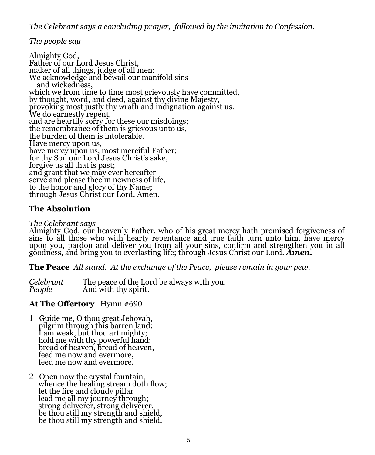*The Celebrant says a concluding prayer, followed by the invitation to Confession.*

*The people say*

Almighty God, Father of our Lord Jesus Christ, maker of all things, judge of all men: We acknowledge and bewail our manifold sins and wickedness, which we from time to time most grievously have committed, by thought, word, and deed, against thy divine Majesty, provoking most justly thy wrath and indignation against us. We do earnestly repent, and are heartily sorry for these our misdoings; the remembrance of them is grievous unto us, the burden of them is intolerable. Have mercy upon us, have mercy upon us, most merciful Father; for thy Son our Lord Jesus Christ's sake, forgive us all that is past; and grant that we may ever hereafter serve and please thee in newness of life, to the honor and glory of thy Name; through Jesus Christ our Lord. Amen.

# **The Absolution**

### *The Celebrant says*

Almighty God, our heavenly Father, who of his great mercy hath promised forgiveness of sins to all those who with hearty repentance and true faith turn unto him, have mercy upon you, pardon and deliver you from all your sins, confirm and strengthen you in all goodness, and bring you to everlasting life; through Jesus Christ our Lord. *Amen.* 

**The Peace** *All stand. At the exchange of the Peace, please remain in your pew.* 

*Celebrant* The peace of the Lord be always with you. And with thy spirit.

# **At The Offertory** Hymn #690

- 1 Guide me, O thou great Jehovah, pilgrim through this barren land; I am weak, but thou art mighty; hold me with thy powerful hand; bread of heaven, bread of heaven, feed me now and evermore, feed me now and evermore.
- 2 Open now the crystal fountain, whence the healing stream doth flow; let the fire and cloudy pillar lead me all my journey through; strong deliverer, strong deliverer. be thou still my strength and shield, be thou still my strength and shield.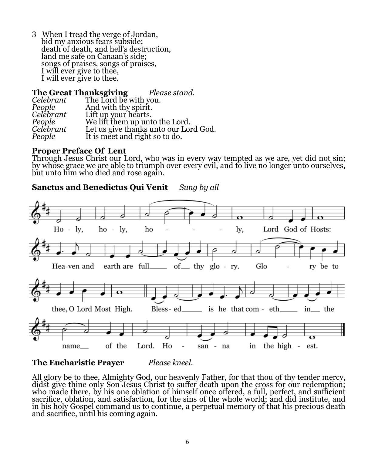3 When I tread the verge of Jordan, bid my anxious fears subside; death of death, and hell's destruction, land me safe on Canaan's side; songs of praises, songs of praises, I will ever give to thee, I will ever give to thee.

|           | <b>The Great Thanksgiving</b> Please stand. |                                       |
|-----------|---------------------------------------------|---------------------------------------|
| Celebrant | The Lord be with you.                       |                                       |
| People    | And with thy spirit.                        |                                       |
| Celebrant | Lift up your hearts.                        |                                       |
| People    |                                             | We lift them up unto the Lord.        |
| Celebrant |                                             | Let us give thanks unto our Lord God. |
| People    | It is meet and right so to do.              |                                       |

#### **Proper Preface Of Lent**

Through Jesus Christ our Lord, who was in every way tempted as we are, yet did not sin; by whose grace we are able to triumph over every evil, and to live no longer unto ourselves, but unto him who died and rose again.

**Sanctus and Benedictus Qui Venit** *Sung by all*



**The Eucharistic Prayer** *Please kneel.*

All glory be to thee, Almighty God, our heavenly Father, for that thou of thy tender mercy, didst give thine only Son Jesus Christ to suffer death upon the cross for our redemption; who made there, by his one oblation of himself once offered, a full, perfect, and sufficient sacrifice, oblation, and satisfaction, for the sins of the whole world; and did institute, and in his holy Gospel command us to continue, a perpetual memory of that his precious death and sacrifice, until his coming again.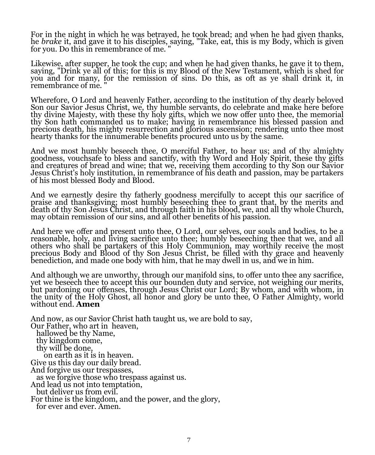For in the night in which he was betrayed, he took bread; and when he had given thanks, he *brake* it, and gave it to his disciples, saying, "Take, eat, this is my Body, which is given for you. Do this in remembrance of me. "

Likewise, after supper, he took the cup; and when he had given thanks, he gave it to them, saying, "Drink ye all of this; for this is my Blood of the New Testament, which is shed for you and for many, for the remission of sins. Do this, as oft as ye shall drink it, in remembrance of me. "

Wherefore, O Lord and heavenly Father, according to the institution of thy dearly beloved Son our Savior Jesus Christ, we, thy humble servants, do celebrate and make here before thy divine Majesty, with these thy holy gifts, which we now offer unto thee, the memorial thy Son hath commanded us to make; having in remembrance his blessed passion and precious death, his mighty resurrection and glorious ascension; rendering unto thee most hearty thanks for the innumerable benefits procured unto us by the same.

And we most humbly beseech thee, O merciful Father, to hear us; and of thy almighty goodness, vouchsafe to bless and sanctify, with thy Word and Holy Spirit, these thy gifts and creatures of bread and wine; that we, receiving them according to thy Son our Savior Jesus Christ's holy institution, in remembrance of his death and passion, may be partakers of his most blessed Body and Blood.

And we earnestly desire thy fatherly goodness mercifully to accept this our sacrifice of praise and thanksgiving; most humbly beseeching thee to grant that, by the merits and death of thy Son Jesus Christ, and through faith in his blood, we, and all thy whole Church, may obtain remission of our sins, and all other benefits of his passion.

And here we offer and present unto thee, O Lord, our selves, our souls and bodies, to be a reasonable, holy, and living sacrifice unto thee; humbly beseeching thee that we, and all others who shall be partakers of this Holy Communion, may worthily receive the most precious Body and Blood of thy Son Jesus Christ, be filled with thy grace and heavenly benediction, and made one body with him, that he may dwell in us, and we in him.

And although we are unworthy, through our manifold sins, to offer unto thee any sacrifice, yet we beseech thee to accept this our bounden duty and service, not weighing our merits, but pardoning our offenses, through Jesus Christ our Lord; By whom, and with whom, in the unity of the Holy Ghost, all honor and glory be unto thee, O Father Almighty, world without end. **Amen** 

And now, as our Savior Christ hath taught us, we are bold to say, Our Father, who art in heaven, hallowed be thy Name, thy kingdom come, thy will be done, on earth as it is in heaven. Give us this day our daily bread. And forgive us our trespasses, as we forgive those who trespass against us. And lead us not into temptation, but deliver us from evil. For thine is the kingdom, and the power, and the glory, for ever and ever. Amen.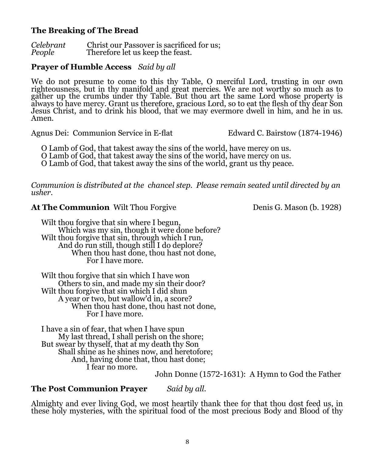## **The Breaking of The Bread**

*Celebrant* Christ our Passover is sacrificed for us;<br>*People* Therefore let us keep the feast. Therefore let us keep the feast.

## **Prayer of Humble Access** *Said by all*

We do not presume to come to this thy Table, O merciful Lord, trusting in our own righteousness, but in thy manifold and great mercies. We are not worthy so much as to gather up the crumbs under thy Table. But thou art the same Lord whose property is always to have mercy. Grant us therefore, gracious Lord, so to eat the flesh of thy dear Son Jesus Christ, and to drink his blood, that we may evermore dwell in him, and he in us. Amen*.*

Agnus Dei: Communion Service in E-flat Edward C. Bairstow (1874-1946)

O Lamb of God, that takest away the sins of the world, have mercy on us.<br>O Lamb of God, that takest away the sins of the world, have mercy on us.

O Lamb of God, that takest away the sins of the world, grant us thy peace.

*Communion is distributed at the chancel step. Please remain seated until directed by an usher.*

## **At The Communion** Wilt Thou Forgive Denis G. Mason (b. 1928)

Wilt thou forgive that sin where I begun, Which was my sin, though it were done before? Wilt thou forgive that sin, through which I run, And do run still, though still I do deplore? When thou hast done, thou hast not done, For I have more.

Wilt thou forgive that sin which I have won Others to sin, and made my sin their door? Wilt thou forgive that sin which I did shun A year or two, but wallow'd in, a score? When thou hast done, thou hast not done, For I have more.

I have a sin of fear, that when I have spun My last thread, I shall perish on the shore; But swear by thyself, that at my death thy Son Shall shine as he shines now, and heretofore; And, having done that, thou hast done; I fear no more.

John Donne (1572-1631): A Hymn to God the Father

# **The Post Communion Prayer** *Said by all.*

Almighty and ever living God, we most heartily thank thee for that thou dost feed us, in these holy mysteries, with the spiritual food of the most precious Body and Blood of thy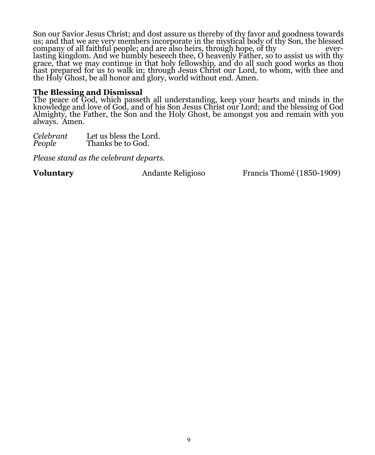Son our Savior Jesus Christ; and dost assure us thereby of thy favor and goodness towards us; and that we are very members incorporate in the mystical body of thy Son, the blessed company of all faithful people; and are also heirs, through hope, of thy everlasting kingdom. And we humbly beseech thee, O heavenly Father, so to assist us with thy grace, that we may continue in that holy fellowship, and do all such good works as thou hast prepared for us to walk in; through Jesus Christ our Lord, to whom, with thee and the Holy Ghost, be all honor and glory, world without end. Amen.

#### **The Blessing and Dismissal**

The peace of God, which passeth all understanding, keep your hearts and minds in the knowledge and love of God, and of his Son Jesus Christ our Lord; and the blessing of God Almighty, the Father, the Son and the Holy Ghost, be amongst you and remain with you always. Amen.

*Celebrant* Let us bless the Lord. **Thanks** be to God.

*Please stand as the celebrant departs.*

**Voluntary Andante Religioso** Francis Thomé (1850-1909)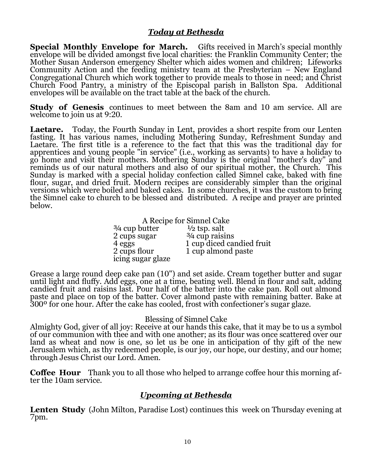## *Today at Bethesda*

**Special Monthly Envelope for March.** Gifts received in March's special monthly envelope will be divided amongst five local charities: the Franklin Community Center; the Mother Susan Anderson emergency Shelter which aides women and children; Lifeworks Community Action and the feeding ministry team at the Presbyterian – New England Congregational Church which work together to provide meals to those in need; and Christ Church Food Pantry, a ministry of the Episcopal parish in Ballston Spa. Additional envelopes will be available on the tract table at the back of the church.

**Study of Genesis** continues to meet between the 8am and 10 am service. All are welcome to join us at 9:20.

**Laetare.** Today, the Fourth Sunday in Lent, provides a short respite from our Lenten fasting. It has various names, including Mothering Sunday, Refreshment Sunday and Laetare. The first title is a reference to the fact that this was the traditional day for apprentices and young people "in service" (i.e., working as servants) to have a holiday to go home and visit their mothers. Mothering Sunday is the original "mother's day" and reminds us of our natural mothers and also of our spiritual mother, the Church. This Sunday is marked with a special holiday confection called Simnel cake, baked with fine flour, sugar, and dried fruit. Modern recipes are considerably simpler than the original versions which were boiled and baked cakes. In some churches, it was the custom to bring the Simnel cake to church to be blessed and distributed. A recipe and prayer are printed below.

A Recipe for Simnel Cake<br>butter  $\frac{1}{2}$  tsp. salt

 $\frac{3}{4}$  cup butter  $\frac{1}{2}$  tsp. salt<br>2 cups sugar  $\frac{3}{4}$  cup raisins  $\frac{2 \text{ cups}}{4 \text{ eggs}}$ icing sugar glaze

4 eggs 1 cup diced candied fruit<br>2 cups flour 1 cup almond paste 1 cup almond paste

Grease a large round deep cake pan (10") and set aside. Cream together butter and sugar until light and fluffy. Add eggs, one at a time, beating well. Blend in flour and salt, adding candied fruit and raisins last. Pour half of the batter into the cake pan. Roll out almond paste and place on top of the batter. Cover almond paste with remaining batter. Bake at 300º for one hour. After the cake has cooled, frost with confectioner's sugar glaze.

#### Blessing of Simnel Cake

Almighty God, giver of all joy: Receive at our hands this cake, that it may be to us a symbol of our communion with thee and with one another; as its flour was once scattered over our land as wheat and now is one, so let us be one in anticipation of thy gift of the new Jerusalem which, as thy redeemed people, is our joy, our hope, our destiny, and our home; through Jesus Christ our Lord. Amen.

**Coffee Hour** Thank you to all those who helped to arrange coffee hour this morning after the 10am service.

### *Upcoming at Bethesda*

**Lenten Study** (John Milton, Paradise Lost) continues this week on Thursday evening at 7pm.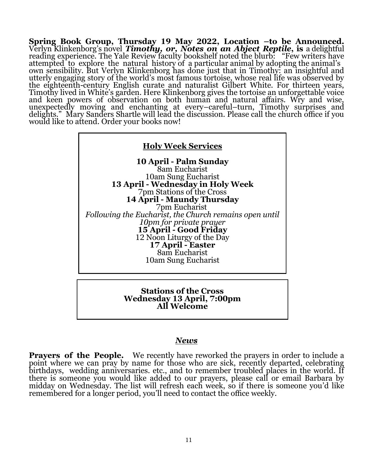**Spring Book Group, Thursday 19 May 2022, Location –to be Announced.**  Verlyn Klinkenborg's novel *Timothy, or, Notes on an Abject Reptile***, is** a delightful reading experience. The Yale Review faculty bookshelf noted the blurb: "Few writers have attempted to explore the natural history of a particular animal by adopting the animal's own sensibility. But Verlyn Klinkenborg has done just that in Timothy: an insightful and utterly engaging story of the world's most famous tortoise, whose real life was observed by the eighteenth-century English curate and naturalist Gilbert White. For thirteen years, Timothy lived in White's garden. Here Klinkenborg gives the tortoise an unforgettable voice and keen powers of observation on both human and natural affairs. Wry and wise, unexpectedly moving and enchanting at every–careful–turn, Timothy surprises and delights." Mary Sanders Shartle will lead the discussion. Please call the church office if you would like to attend. Order your books now!



#### **Stations of the Cross Wednesday 13 April, 7:00pm All Welcome**

#### *News*

**Prayers of the People.** We recently have reworked the prayers in order to include a point where we can pray by name for those who are sick, recently departed, celebrating birthdays, wedding anniversaries. etc., and to remember troubled places in the world. If there is someone you would like added to our prayers, please call or email Barbara by midday on Wednesday. The list will refresh each week, so if there is someone you'd like remembered for a longer period, you'll need to contact the office weekly.